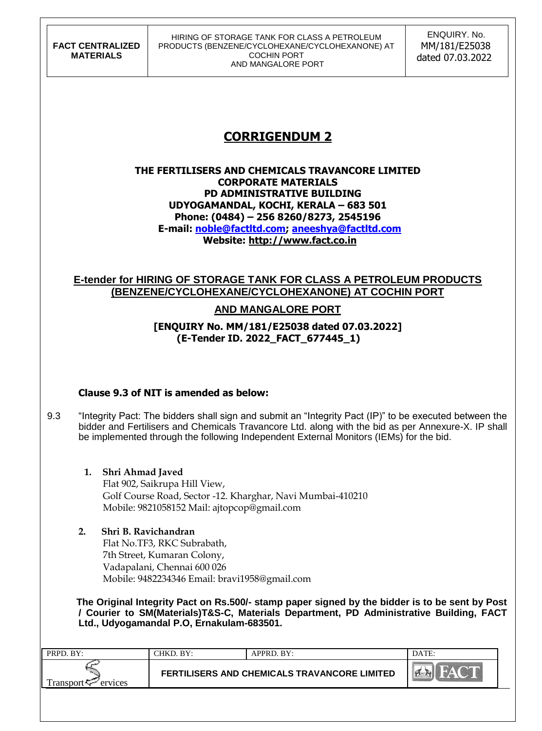**FACT CENTRALIZED MATERIALS**

#### HIRING OF STORAGE TANK FOR CLASS A PETROLEUM PRODUCTS (BENZENE/CYCLOHEXANE/CYCLOHEXANONE) AT COCHIN PORT AND MANGALORE PORT

 ENQUIRY. No. MM/181/E25038 dated 07.03.2022

# **CORRIGENDUM 2**

#### **THE FERTILISERS AND CHEMICALS TRAVANCORE LIMITED CORPORATE MATERIALS PD ADMINISTRATIVE BUILDING UDYOGAMANDAL, KOCHI, KERALA – 683 501 Phone: (0484) – 256 8260/8273, 2545196 E-mail: [noble@factltd.com;](mailto:julian@factltd.com) [aneeshya@factltd.com](mailto:aneeshya@factltd.com) Website: [http://www.fact.co.in](http://www.fact.co.in/)**

### **E-tender for HIRING OF STORAGE TANK FOR CLASS A PETROLEUM PRODUCTS (BENZENE/CYCLOHEXANE/CYCLOHEXANONE) AT COCHIN PORT**

## **AND MANGALORE PORT**

#### **[ENQUIRY No. MM/181/E25038 dated 07.03.2022] (E-Tender ID. 2022\_FACT\_677445\_1)**

### **Clause 9.3 of NIT is amended as below:**

- 9.3 "Integrity Pact: The bidders shall sign and submit an "Integrity Pact (IP)" to be executed between the bidder and Fertilisers and Chemicals Travancore Ltd. along with the bid as per Annexure-X. IP shall be implemented through the following Independent External Monitors (IEMs) for the bid.
	- **1. Shri Ahmad Javed** Flat 902, Saikrupa Hill View, Golf Course Road, Sector -12. Kharghar, Navi Mumbai-410210 Mobile: [9821058152](callto:9821058152) Mail: ajtopcop@gmail.com
	- **2. Shri B. Ravichandran**

Flat No.TF3, RKC Subrabath, 7th Street, Kumaran Colony, Vadapalani, Chennai 600 026 Mobile: [9482234346](callto:9482234346) Email: [bravi1958@gmail.com](mailto:bravi1958@gmail.com)

 **The Original Integrity Pact on Rs.500/- stamp paper signed by the bidder is to be sent by Post / Courier to SM(Materials)T&S-C, Materials Department, PD Administrative Building, FACT Ltd., Udyogamandal P.O, Ernakulam-683501.** 

| PRPD. BY:                                          | CHKD. BY: | APPRD. BY:                                   | DATE: |
|----------------------------------------------------|-----------|----------------------------------------------|-------|
| Transport $\overline{C}$ $\overline{C}$<br>ervices |           | FERTILISERS AND CHEMICALS TRAVANCORE LIMITED |       |
|                                                    |           |                                              |       |